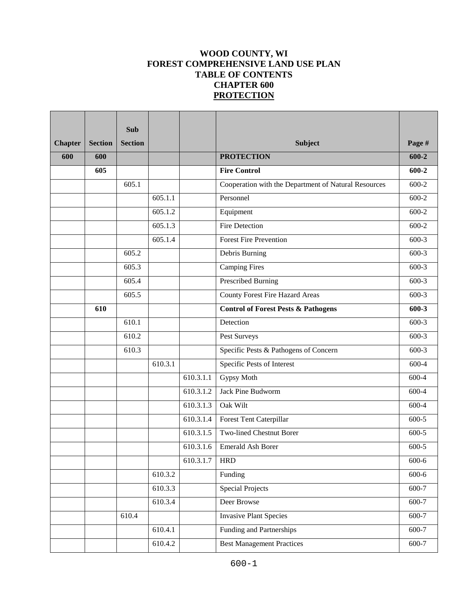# **WOOD COUNTY, WI FOREST COMPREHENSIVE LAND USE PLAN TABLE OF CONTENTS CHAPTER 600 PROTECTION**

|                |                | <b>Sub</b>     |         |           |                                                      |           |
|----------------|----------------|----------------|---------|-----------|------------------------------------------------------|-----------|
| <b>Chapter</b> | <b>Section</b> | <b>Section</b> |         |           | <b>Subject</b>                                       | Page #    |
| 600            | 600            |                |         |           | <b>PROTECTION</b>                                    | $600 - 2$ |
|                | 605            |                |         |           | <b>Fire Control</b>                                  | $600 - 2$ |
|                |                | 605.1          |         |           | Cooperation with the Department of Natural Resources | $600 - 2$ |
|                |                |                | 605.1.1 |           | Personnel                                            | $600 - 2$ |
|                |                |                | 605.1.2 |           | Equipment                                            | $600 - 2$ |
|                |                |                | 605.1.3 |           | <b>Fire Detection</b>                                | 600-2     |
|                |                |                | 605.1.4 |           | <b>Forest Fire Prevention</b>                        | $600-3$   |
|                |                | 605.2          |         |           | Debris Burning                                       | $600-3$   |
|                |                | 605.3          |         |           | <b>Camping Fires</b>                                 | $600-3$   |
|                |                | 605.4          |         |           | <b>Prescribed Burning</b>                            | $600-3$   |
|                |                | 605.5          |         |           | <b>County Forest Fire Hazard Areas</b>               | $600-3$   |
|                | 610            |                |         |           | <b>Control of Forest Pests &amp; Pathogens</b>       | $600 - 3$ |
|                |                | 610.1          |         |           | Detection                                            | $600-3$   |
|                |                | 610.2          |         |           | Pest Surveys                                         | $600-3$   |
|                |                | 610.3          |         |           | Specific Pests & Pathogens of Concern                | $600-3$   |
|                |                |                | 610.3.1 |           | Specific Pests of Interest                           | 600-4     |
|                |                |                |         | 610.3.1.1 | Gypsy Moth                                           | 600-4     |
|                |                |                |         | 610.3.1.2 | Jack Pine Budworm                                    | 600-4     |
|                |                |                |         | 610.3.1.3 | Oak Wilt                                             | 600-4     |
|                |                |                |         | 610.3.1.4 | Forest Tent Caterpillar                              | 600-5     |
|                |                |                |         | 610.3.1.5 | <b>Two-lined Chestnut Borer</b>                      | $600 - 5$ |
|                |                |                |         | 610.3.1.6 | <b>Emerald Ash Borer</b>                             | $600-5$   |
|                |                |                |         | 610.3.1.7 | <b>HRD</b>                                           | $600 - 6$ |
|                |                |                | 610.3.2 |           | Funding                                              | $600 - 6$ |
|                |                |                | 610.3.3 |           | <b>Special Projects</b>                              | 600-7     |
|                |                |                | 610.3.4 |           | Deer Browse                                          | 600-7     |
|                |                | 610.4          |         |           | <b>Invasive Plant Species</b>                        | 600-7     |
|                |                |                | 610.4.1 |           | Funding and Partnerships                             | 600-7     |
|                |                |                | 610.4.2 |           | <b>Best Management Practices</b>                     | 600-7     |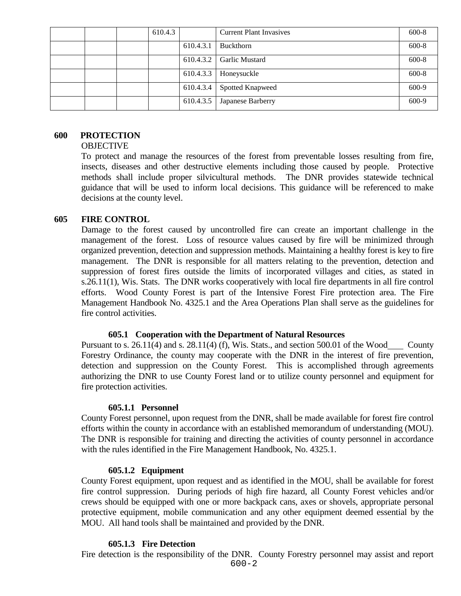|  | 610.4.3 |           | <b>Current Plant Invasives</b> | $600 - 8$ |
|--|---------|-----------|--------------------------------|-----------|
|  |         | 610.4.3.1 | Buckthorn                      | $600 - 8$ |
|  |         | 610.4.3.2 | <b>Garlic Mustard</b>          | $600 - 8$ |
|  |         | 610.4.3.3 | Honeysuckle                    | $600 - 8$ |
|  |         | 610.4.3.4 | <b>Spotted Knapweed</b>        | 600-9     |
|  |         | 610.4.3.5 | Japanese Barberry              | 600-9     |

# **600 PROTECTION**

# **OBJECTIVE**

To protect and manage the resources of the forest from preventable losses resulting from fire, insects, diseases and other destructive elements including those caused by people. Protective methods shall include proper silvicultural methods. The DNR provides statewide technical guidance that will be used to inform local decisions. This guidance will be referenced to make decisions at the county level.

# **605 FIRE CONTROL**

Damage to the forest caused by uncontrolled fire can create an important challenge in the management of the forest. Loss of resource values caused by fire will be minimized through organized prevention, detection and suppression methods. Maintaining a healthy forest is key to fire management. The DNR is responsible for all matters relating to the prevention, detection and suppression of forest fires outside the limits of incorporated villages and cities, as stated in s.26.11(1), Wis. Stats. The DNR works cooperatively with local fire departments in all fire control efforts. Wood County Forest is part of the Intensive Forest Fire protection area. The Fire Management Handbook No. 4325.1 and the Area Operations Plan shall serve as the guidelines for fire control activities.

#### **605.1 Cooperation with the Department of Natural Resources**

Pursuant to s. 26.11(4) and s. 28.11(4) (f), Wis. Stats., and section 500.01 of the Wood County Forestry Ordinance, the county may cooperate with the DNR in the interest of fire prevention, detection and suppression on the County Forest. This is accomplished through agreements authorizing the DNR to use County Forest land or to utilize county personnel and equipment for fire protection activities.

#### **605.1.1 Personnel**

County Forest personnel, upon request from the DNR, shall be made available for forest fire control efforts within the county in accordance with an established memorandum of understanding (MOU). The DNR is responsible for training and directing the activities of county personnel in accordance with the rules identified in the Fire Management Handbook, No. 4325.1.

#### **605.1.2 Equipment**

County Forest equipment, upon request and as identified in the MOU, shall be available for forest fire control suppression. During periods of high fire hazard, all County Forest vehicles and/or crews should be equipped with one or more backpack cans, axes or shovels, appropriate personal protective equipment, mobile communication and any other equipment deemed essential by the MOU. All hand tools shall be maintained and provided by the DNR.

# **605.1.3 Fire Detection**

Fire detection is the responsibility of the DNR. County Forestry personnel may assist and report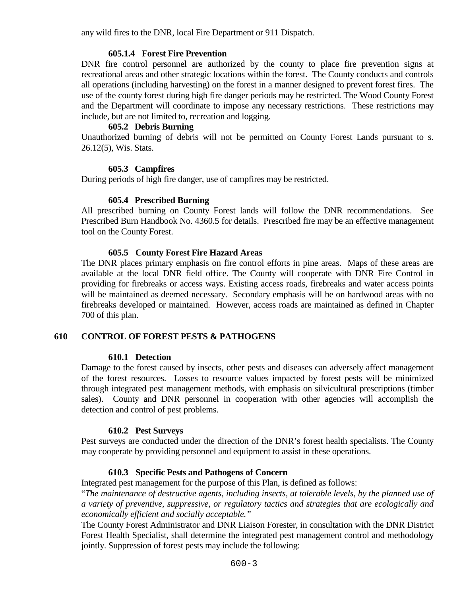any wild fires to the DNR, local Fire Department or 911 Dispatch.

# **605.1.4 Forest Fire Prevention**

DNR fire control personnel are authorized by the county to place fire prevention signs at recreational areas and other strategic locations within the forest. The County conducts and controls all operations (including harvesting) on the forest in a manner designed to prevent forest fires. The use of the county forest during high fire danger periods may be restricted. The Wood County Forest and the Department will coordinate to impose any necessary restrictions. These restrictions may include, but are not limited to, recreation and logging.

# **605.2 Debris Burning**

Unauthorized burning of debris will not be permitted on County Forest Lands pursuant to s. 26.12(5), Wis. Stats.

# **605.3 Campfires**

During periods of high fire danger, use of campfires may be restricted.

# **605.4 Prescribed Burning**

All prescribed burning on County Forest lands will follow the DNR recommendations. See Prescribed Burn Handbook No. 4360.5 for details. Prescribed fire may be an effective management tool on the County Forest.

# **605.5 County Forest Fire Hazard Areas**

The DNR places primary emphasis on fire control efforts in pine areas. Maps of these areas are available at the local DNR field office. The County will cooperate with DNR Fire Control in providing for firebreaks or access ways. Existing access roads, firebreaks and water access points will be maintained as deemed necessary. Secondary emphasis will be on hardwood areas with no firebreaks developed or maintained. However, access roads are maintained as defined in Chapter 700 of this plan.

# **610 CONTROL OF FOREST PESTS & PATHOGENS**

# **610.1 Detection**

Damage to the forest caused by insects, other pests and diseases can adversely affect management of the forest resources. Losses to resource values impacted by forest pests will be minimized through integrated pest management methods, with emphasis on silvicultural prescriptions (timber sales). County and DNR personnel in cooperation with other agencies will accomplish the detection and control of pest problems.

# **610.2 Pest Surveys**

Pest surveys are conducted under the direction of the DNR's forest health specialists. The County may cooperate by providing personnel and equipment to assist in these operations.

# **610.3 Specific Pests and Pathogens of Concern**

Integrated pest management for the purpose of this Plan, is defined as follows:

"*The maintenance of destructive agents, including insects, at tolerable levels, by the planned use of a variety of preventive, suppressive, or regulatory tactics and strategies that are ecologically and economically efficient and socially acceptable."*

The County Forest Administrator and DNR Liaison Forester, in consultation with the DNR District Forest Health Specialist, shall determine the integrated pest management control and methodology jointly. Suppression of forest pests may include the following: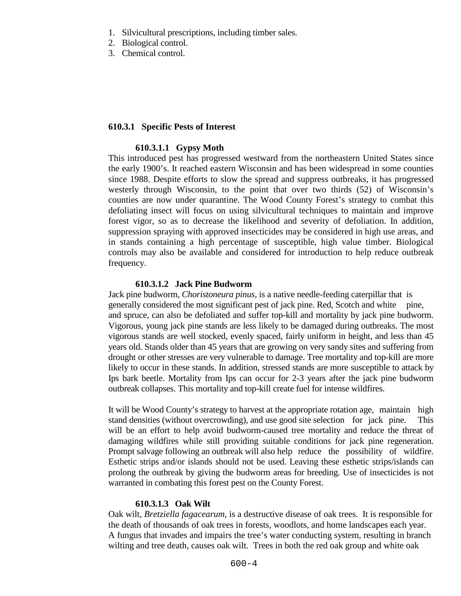- 1. Silvicultural prescriptions, including timber sales.
- 2. Biological control.
- 3. Chemical control.

# **610.3.1****Specific Pests of Interest**

### **610.3.1.1 Gypsy Moth**

This introduced pest has progressed westward from the northeastern United States since the early 1900's. It reached eastern Wisconsin and has been widespread in some counties since 1988. Despite efforts to slow the spread and suppress outbreaks, it has progressed westerly through Wisconsin, to the point that over two thirds (52) of Wisconsin's counties are now under quarantine. The Wood County Forest's strategy to combat this defoliating insect will focus on using silvicultural techniques to maintain and improve forest vigor, so as to decrease the likelihood and severity of defoliation. In addition, suppression spraying with approved insecticides may be considered in high use areas, and in stands containing a high percentage of susceptible, high value timber. Biological controls may also be available and considered for introduction to help reduce outbreak frequency.

# **610.3.1.2 Jack Pine Budworm**

Jack pine budworm*, Choristoneura pinus,* is a native needle-feeding caterpillar that is generally considered the most significant pest of jack pine. Red, Scotch and white pine, and spruce, can also be defoliated and suffer top-kill and mortality by jack pine budworm. Vigorous, young jack pine stands are less likely to be damaged during outbreaks. The most vigorous stands are well stocked, evenly spaced, fairly uniform in height, and less than 45 years old. Stands older than 45 years that are growing on very sandy sites and suffering from drought or other stresses are very vulnerable to damage. Tree mortality and top-kill are more likely to occur in these stands. In addition, stressed stands are more susceptible to attack by Ips bark beetle. Mortality from Ips can occur for 2-3 years after the jack pine budworm outbreak collapses. This mortality and top-kill create fuel for intense wildfires.

It will be Wood County's strategy to harvest at the appropriate rotation age, maintain high stand densities (without overcrowding), and use good site selection for jack pine. This will be an effort to help avoid budworm-caused tree mortality and reduce the threat of damaging wildfires while still providing suitable conditions for jack pine regeneration. Prompt salvage following an outbreak will also help reduce the possibility of wildfire. Esthetic strips and/or islands should not be used. Leaving these esthetic strips/islands can prolong the outbreak by giving the budworm areas for breeding. Use of insecticides is not warranted in combating this forest pest on the County Forest.

#### **610.3.1.3 Oak Wilt**

Oak wilt*, Bretziella fagacearum,* is a destructive disease of oak trees. It is responsible for the death of thousands of oak trees in forests, woodlots, and home landscapes each year. A fungus that invades and impairs the tree's water conducting system, resulting in branch wilting and tree death, causes oak wilt. Trees in both the red oak group and white oak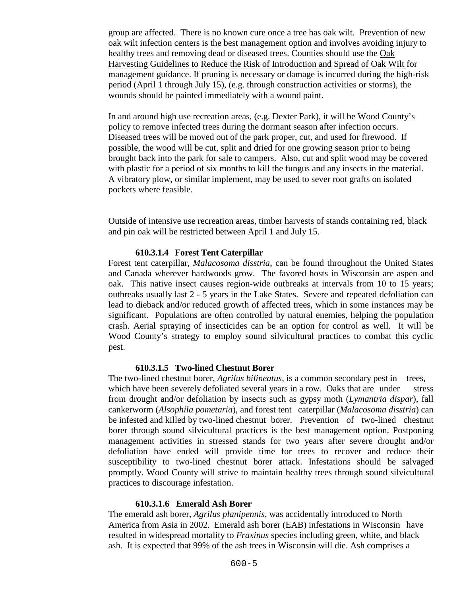group are affected. There is no known cure once a tree has oak wilt. Prevention of new oak wilt infection centers is the best management option and involves avoiding injury to healthy trees and removing dead or diseased trees. Counties should use the Oak [Harvesting Guidelines to Reduce the Risk of Introduction and Spread of Oak Wilt](https://embed.widencdn.net/pdf/download/widnr/aqszuho7ee/Oak-Harvesting-Guidelines-Web-version.pdf?u=lhzbht&showinbrowser=true) for management guidance. If pruning is necessary or damage is incurred during the high-risk period (April 1 through July 15), (e.g. through construction activities or storms), the wounds should be painted immediately with a wound paint.

In and around high use recreation areas, (e.g. Dexter Park), it will be Wood County's policy to remove infected trees during the dormant season after infection occurs. Diseased trees will be moved out of the park proper, cut, and used for firewood. If possible, the wood will be cut, split and dried for one growing season prior to being brought back into the park for sale to campers. Also, cut and split wood may be covered with plastic for a period of six months to kill the fungus and any insects in the material. A vibratory plow, or similar implement, may be used to sever root grafts on isolated pockets where feasible.

Outside of intensive use recreation areas, timber harvests of stands containing red, black and pin oak will be restricted between April 1 and July 15.

# **610.3.1.4 Forest Tent Caterpillar**

Forest tent caterpillar, *Malacosoma disstria*, can be found throughout the United States and Canada wherever hardwoods grow. The favored hosts in Wisconsin are aspen and oak. This native insect causes region-wide outbreaks at intervals from 10 to 15 years; outbreaks usually last 2 - 5 years in the Lake States. Severe and repeated defoliation can lead to dieback and/or reduced growth of affected trees, which in some instances may be significant. Populations are often controlled by natural enemies, helping the population crash. Aerial spraying of insecticides can be an option for control as well. It will be Wood County's strategy to employ sound silvicultural practices to combat this cyclic pest.

#### **610.3.1.5 Two-lined Chestnut Borer**

The two-lined chestnut borer, *Agrilus bilineatus*, is a common secondary pest in trees, which have been severely defoliated several years in a row. Oaks that are under stress from drought and/or defoliation by insects such as gypsy moth (*Lymantria dispar*), fall cankerworm (*Alsophila pometaria*), and forest tent caterpillar (*Malacosoma disstria*) can be infested and killed by two-lined chestnut borer. Prevention of two-lined chestnut borer through sound silvicultural practices is the best management option. Postponing management activities in stressed stands for two years after severe drought and/or defoliation have ended will provide time for trees to recover and reduce their susceptibility to two-lined chestnut borer attack. Infestations should be salvaged promptly. Wood County will strive to maintain healthy trees through sound silvicultural practices to discourage infestation.

#### **610.3.1.6 Emerald Ash Borer**

The emerald ash borer, *Agrilus planipennis*, was accidentally introduced to North America from Asia in 2002. Emerald ash borer (EAB) infestations in Wisconsin have resulted in widespread mortality to *Fraxinus* species including green, white, and black ash. It is expected that 99% of the ash trees in Wisconsin will die. Ash comprises a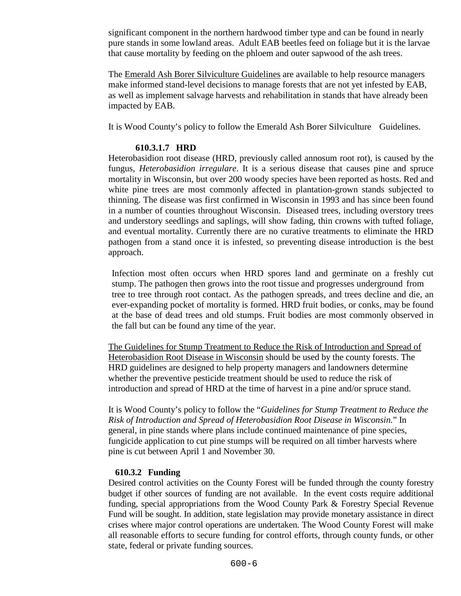significant component in the northern hardwood timber type and can be found in nearly pure stands in some lowland areas. Adult EAB beetles feed on foliage but it is the larvae that cause mortality by feeding on the phloem and outer sapwood of the ash trees.

The [Emerald Ash Borer Silviculture Guidelines](https://dnr.wi.gov/topic/ForestHealth/documents/EABWIManagementGuidelines.pdf) are available to help resource managers make informed stand-level decisions to manage forests that are not yet infested by EAB, as well as implement salvage harvests and rehabilitation in stands that have already been impacted by EAB.

It is Wood County's policy to follow the Emerald Ash Borer Silviculture Guidelines.

# **610.3.1.7 HRD**

Heterobasidion root disease (HRD, previously called annosum root rot), is caused by the fungus, *Heterobasidion irregulare*. It is a serious disease that causes pine and spruce mortality in Wisconsin, but over 200 woody species have been reported as hosts. Red and white pine trees are most commonly affected in plantation-grown stands subjected to thinning. The disease was first confirmed in Wisconsin in 1993 and has since been found in a number of counties throughout Wisconsin. Diseased trees, including overstory trees and understory seedlings and saplings, will show fading, thin crowns with tufted foliage, and eventual mortality. Currently there are no curative treatments to eliminate the HRD pathogen from a stand once it is infested, so preventing disease introduction is the best approach.

Infection most often occurs when HRD spores land and germinate on a freshly cut stump. The pathogen then grows into the root tissue and progresses underground from tree to tree through root contact. As the pathogen spreads, and trees decline and die, an ever-expanding pocket of mortality is formed. HRD fruit bodies, or conks, may be found at the base of dead trees and old stumps. Fruit bodies are most commonly observed in the fall but can be found any time of the year.

The [Guidelines for Stump Treatment to Reduce the Risk of Introduction and Spread of](https://embed.widencdn.net/pdf/download/widnr/049sbfkidg/AnnosumTreatmentGuide.pdf?u=4gqjgf&showinbrowser=true)  [Heterobasidion Root Disease in Wisconsin](https://embed.widencdn.net/pdf/download/widnr/049sbfkidg/AnnosumTreatmentGuide.pdf?u=4gqjgf&showinbrowser=true) should be used by the county forests. The HRD guidelines are designed to help property managers and landowners determine whether the preventive pesticide treatment should be used to reduce the risk of introduction and spread of HRD at the time of harvest in a pine and/or spruce stand.

It is Wood County's policy to follow the "*Guidelines for Stump Treatment to Reduce the Risk of Introduction and Spread of Heterobasidion Root Disease in Wisconsin.*" In general, in pine stands where plans include continued maintenance of pine species, fungicide application to cut pine stumps will be required on all timber harvests where pine is cut between April 1 and November 30.

# **610.3.2 Funding**

Desired control activities on the County Forest will be funded through the county forestry budget if other sources of funding are not available. In the event costs require additional funding, special appropriations from the Wood County Park & Forestry Special Revenue Fund will be sought. In addition, state legislation may provide monetary assistance in direct crises where major control operations are undertaken. The Wood County Forest will make all reasonable efforts to secure funding for control efforts, through county funds, or other state, federal or private funding sources.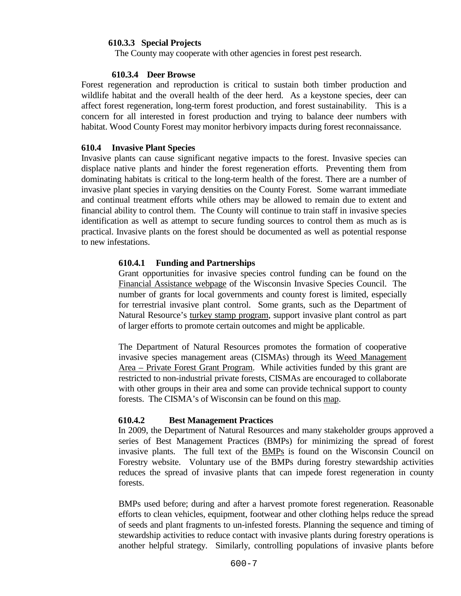# **610.3.3 Special Projects**

The County may cooperate with other agencies in forest pest research.

### **610.3.4 Deer Browse**

Forest regeneration and reproduction is critical to sustain both timber production and wildlife habitat and the overall health of the deer herd. As a keystone species, deer can affect forest regeneration, long-term forest production, and forest sustainability. This is a concern for all interested in forest production and trying to balance deer numbers with habitat. Wood County Forest may monitor herbivory impacts during forest reconnaissance.

# **610.4 Invasive Plant Species**

Invasive plants can cause significant negative impacts to the forest. Invasive species can displace native plants and hinder the forest regeneration efforts. Preventing them from dominating habitats is critical to the long-term health of the forest. There are a number of invasive plant species in varying densities on the County Forest. Some warrant immediate and continual treatment efforts while others may be allowed to remain due to extent and financial ability to control them. The County will continue to train staff in invasive species identification as well as attempt to secure funding sources to control them as much as is practical. Invasive plants on the forest should be documented as well as potential response to new infestations.

# **610.4.1 Funding and Partnerships**

Grant opportunities for invasive species control funding can be found on the [Financial Assistance webpage](http://invasivespecies.wi.gov/financial-assistance/) of the Wisconsin Invasive Species Council. The number of grants for local governments and county forest is limited, especially for terrestrial invasive plant control. Some grants, such as the Department of Natural Resource's [turkey stamp program,](https://dnr.wi.gov/topic/WildlifeHabitat/stamps.html) support invasive plant control as part of larger efforts to promote certain outcomes and might be applicable.

The Department of Natural Resources promotes the formation of cooperative invasive species management areas (CISMAs) through its [Weed Management](https://dnr.wi.gov/Aid/WMA.html)  Area – [Private Forest Grant Program.](https://dnr.wi.gov/Aid/WMA.html) While activities funded by this grant are restricted to non-industrial private forests, CISMAs are encouraged to collaborate with other groups in their area and some can provide technical support to county forests. The CISMA's of Wisconsin can be found on this [map.](https://ipaw.org/quick-links/cismas/)

# **610.4.2 Best Management Practices**

 In 2009, the Department of Natural Resources and many stakeholder groups approved a series of Best Management Practices (BMPs) for minimizing the spread of forest invasive plants. The full text of the [BMPs](https://councilonforestry.wi.gov/Pages/InvasiveSpecies/Forestry.aspx) is found on the Wisconsin Council on Forestry website. Voluntary use of the BMPs during forestry stewardship activities reduces the spread of invasive plants that can impede forest regeneration in county forests.

BMPs used before; during and after a harvest promote forest regeneration. Reasonable efforts to clean vehicles, equipment, footwear and other clothing helps reduce the spread of seeds and plant fragments to un-infested forests. Planning the sequence and timing of stewardship activities to reduce contact with invasive plants during forestry operations is another helpful strategy. Similarly, controlling populations of invasive plants before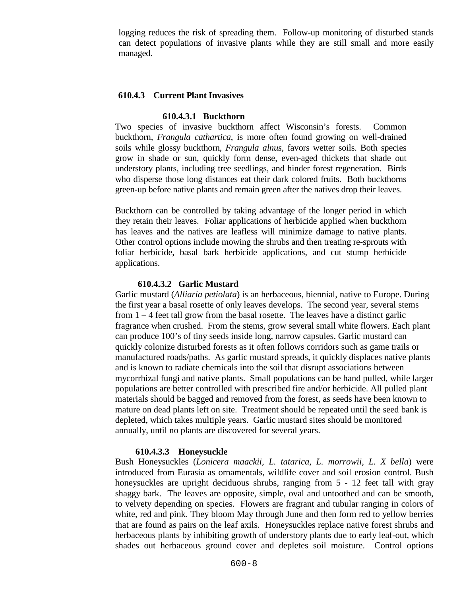logging reduces the risk of spreading them. Follow-up monitoring of disturbed stands can detect populations of invasive plants while they are still small and more easily managed.

#### **610.4.3 Current Plant Invasives**

# **610.4.3.1 Buckthorn**

Two species of invasive buckthorn affect Wisconsin's forests. Common buckthorn, *Frangula cathartica*, is more often found growing on well-drained soils while glossy buckthorn, *Frangula alnus*, favors wetter soils. Both species grow in shade or sun, quickly form dense, even-aged thickets that shade out understory plants, including tree seedlings, and hinder forest regeneration. Birds who disperse those long distances eat their dark colored fruits. Both buckthorns green-up before native plants and remain green after the natives drop their leaves.

Buckthorn can be controlled by taking advantage of the longer period in which they retain their leaves. Foliar applications of herbicide applied when buckthorn has leaves and the natives are leafless will minimize damage to native plants. Other control options include mowing the shrubs and then treating re-sprouts with foliar herbicide, basal bark herbicide applications, and cut stump herbicide applications.

#### **610.4.3.2 Garlic Mustard**

Garlic mustard (*Alliaria petiolata*) is an herbaceous, biennial, native to Europe. During the first year a basal rosette of only leaves develops. The second year, several stems from 1 – 4 feet tall grow from the basal rosette. The leaves have a distinct garlic fragrance when crushed. From the stems, grow several small white flowers. Each plant can produce 100's of tiny seeds inside long, narrow capsules. Garlic mustard can quickly colonize disturbed forests as it often follows corridors such as game trails or manufactured roads/paths. As garlic mustard spreads, it quickly displaces native plants and is known to radiate chemicals into the soil that disrupt associations between mycorrhizal fungi and native plants. Small populations can be hand pulled, while larger populations are better controlled with prescribed fire and/or herbicide. All pulled plant materials should be bagged and removed from the forest, as seeds have been known to mature on dead plants left on site. Treatment should be repeated until the seed bank is depleted, which takes multiple years. Garlic mustard sites should be monitored annually, until no plants are discovered for several years.

#### **610.4.3.3 Honeysuckle**

Bush Honeysuckles (*Lonicera maackii, L. tatarica, L. morrowii, L. X bella*) were introduced from Eurasia as ornamentals, wildlife cover and soil erosion control. Bush honeysuckles are upright deciduous shrubs, ranging from 5 - 12 feet tall with gray shaggy bark. The leaves are opposite, simple, oval and untoothed and can be smooth, to velvety depending on species. Flowers are fragrant and tubular ranging in colors of white, red and pink. They bloom May through June and then form red to yellow berries that are found as pairs on the leaf axils. Honeysuckles replace native forest shrubs and herbaceous plants by inhibiting growth of understory plants due to early leaf-out, which shades out herbaceous ground cover and depletes soil moisture. Control options